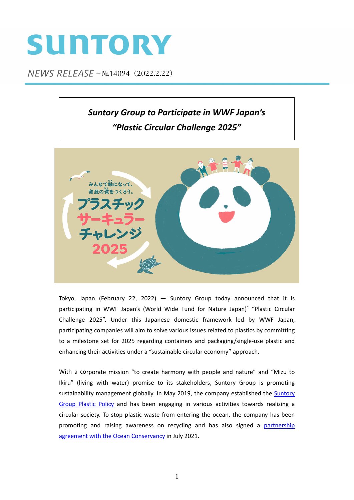## SUNTORY

NEWS RELEASE - No.14094 (2022.2.22)

## *Suntory Group to Participate in WWF Japan's "Plastic Circular Challenge 2025"*



Tokyo, Japan (February 22, 2022)  $-$  Suntory Group today announced that it is participating in WWF Japan's (World Wide Fund for Nature Japan)\* "Plastic Circular Challenge 2025". Under this Japanese domestic framework led by WWF Japan, participating companies will aim to solve various issues related to plastics by committing to a milestone set for 2025 regarding containers and packaging/single‐use plastic and enhancing their activities under a "sustainable circular economy" approach.

With a corporate mission "to create harmony with people and nature" and "Mizu to Ikiru" (living with water) promise to its stakeholders, Suntory Group is promoting sustainability [management](https://www.suntory.com/csr/activity/environment/reduce/plastic/) globally. In May 2019, the company established the Suntory Group Plastic Policy and has been engaging in various activities towards realizing a circular society. To stop plastic waste from entering the ocean, the company has been promoting and raising awareness on recycling and has also signed a partnership agreement with the Ocean [Conservancy](https://www.suntory.com/news/article/13947E.html) in July 2021.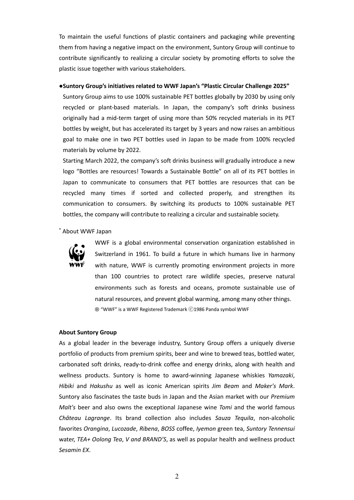To maintain the useful functions of plastic containers and packaging while preventing them from having a negative impact on the environment, Suntory Group will continue to contribute significantly to realizing a circular society by promoting efforts to solve the plastic issue together with various stakeholders.

## **●Suntory Group's initiatives related to WWF Japan's "Plastic Circular Challenge 2025"**

Suntory Group aims to use 100% sustainable PET bottles globally by 2030 by using only recycled or plant‐based materials. In Japan, the company's soft drinks business originally had a mid‐term target of using more than 50% recycled materials in its PET bottles by weight, but has accelerated its target by 3 years and now raises an ambitious goal to make one in two PET bottles used in Japan to be made from 100% recycled materials by volume by 2022.

Starting March 2022, the company's soft drinks business will gradually introduce a new logo "Bottles are resources! Towards a Sustainable Bottle" on all of its PET bottles in Japan to communicate to consumers that PET bottles are resources that can be recycled many times if sorted and collected properly, and strengthen its communication to consumers. By switching its products to 100% sustainable PET bottles, the company will contribute to realizing a circular and sustainable society.

\* About WWF Japan



WWF is a global environmental conservation organization established in Switzerland in 1961. To build a future in which humans live in harmony with nature, WWF is currently promoting environment projects in more than 100 countries to protect rare wildlife species, preserve natural environments such as forests and oceans, promote sustainable use of natural resources, and prevent global warming, among many other things. ® "WWF" is a WWF Registered Trademark ⓒ1986 Panda symbol WWF

## **About Suntory Group**

As a global leader in the beverage industry, Suntory Group offers a uniquely diverse portfolio of products from premium spirits, beer and wine to brewed teas, bottled water, carbonated soft drinks, ready‐to‐drink coffee and energy drinks, along with health and wellness products. Suntory is home to award‐winning Japanese whiskies *Yamazaki*, *Hibiki* and *Hakushu* as well as iconic American spirits *Jim Beam* and *Maker's Mark*. Suntory also fascinates the taste buds in Japan and the Asian market with our *Premium Malt's* beer and also owns the exceptional Japanese wine *Tomi* and the world famous *Château Lagrange*. Its brand collection also includes *Sauza Tequila*, non‐alcoholic favorites *Orangina*, *Lucozade*, *Ribena*, *BOSS* coffee, *Iyemon* green tea, *Suntory Tennensui* water, *TEA+ Oolong Tea*, *V and BRAND'S*, as well as popular health and wellness product *Sesamin EX*.